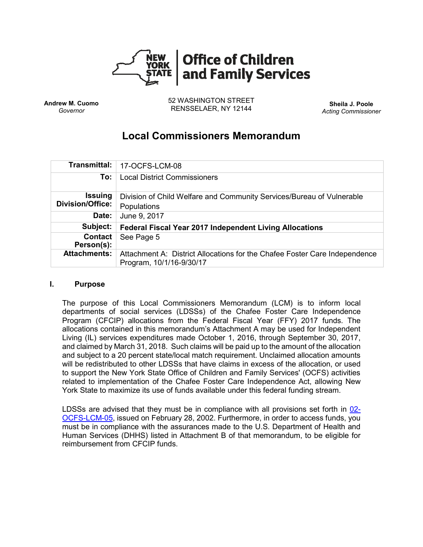

**Andrew M. Cuomo** *Governor*

52 WASHINGTON STREET RENSSELAER, NY 12144 **Sheila J. Poole**

*Acting Commissioner*

# **Local Commissioners Memorandum**

|                                           | Transmittal:   17-OCFS-LCM-08                                                                          |  |  |  |
|-------------------------------------------|--------------------------------------------------------------------------------------------------------|--|--|--|
| To:                                       | <b>Local District Commissioners</b>                                                                    |  |  |  |
| <b>Issuing</b><br><b>Division/Office:</b> | Division of Child Welfare and Community Services/Bureau of Vulnerable<br>Populations                   |  |  |  |
| Date:                                     | June 9, 2017                                                                                           |  |  |  |
| Subject:                                  | <b>Federal Fiscal Year 2017 Independent Living Allocations</b>                                         |  |  |  |
| <b>Contact</b><br>Person(s):              | See Page 5                                                                                             |  |  |  |
| <b>Attachments:</b>                       | Attachment A: District Allocations for the Chafee Foster Care Independence<br>Program, 10/1/16-9/30/17 |  |  |  |

#### **I. Purpose**

The purpose of this Local Commissioners Memorandum (LCM) is to inform local departments of social services (LDSSs) of the Chafee Foster Care Independence Program (CFCIP) allocations from the Federal Fiscal Year (FFY) 2017 funds. The allocations contained in this memorandum's Attachment A may be used for Independent Living (IL) services expenditures made October 1, 2016, through September 30, 2017, and claimed by March 31, 2018. Such claims will be paid up to the amount of the allocation and subject to a 20 percent state/local match requirement. Unclaimed allocation amounts will be redistributed to other LDSSs that have claims in excess of the allocation, or used to support the New York State Office of Children and Family Services' (OCFS) activities related to implementation of the Chafee Foster Care Independence Act, allowing New York State to maximize its use of funds available under this federal funding stream.

LDSSs are advised that they must be in compliance with all provisions set forth in  $02$ -[OCFS-LCM-05,](http://www.wnylc.net/pb/docs/02OCFSLCM-05.pdf) issued on February 28, 2002. Furthermore, in order to access funds, you must be in compliance with the assurances made to the U.S. Department of Health and Human Services (DHHS) listed in Attachment B of that memorandum, to be eligible for reimbursement from CFCIP funds.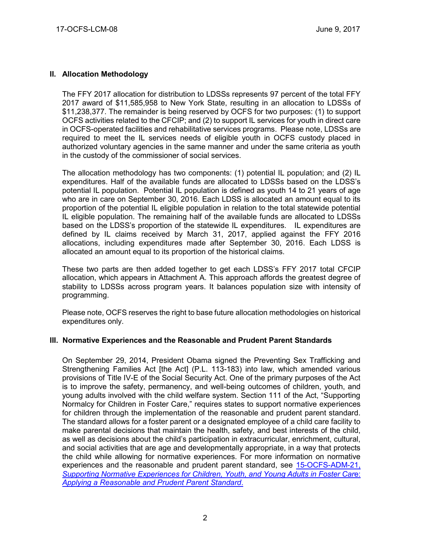### **II. Allocation Methodology**

The FFY 2017 allocation for distribution to LDSSs represents 97 percent of the total FFY 2017 award of \$11,585,958 to New York State, resulting in an allocation to LDSSs of \$11,238,377. The remainder is being reserved by OCFS for two purposes: (1) to support OCFS activities related to the CFCIP; and (2) to support IL services for youth in direct care in OCFS-operated facilities and rehabilitative services programs. Please note, LDSSs are required to meet the IL services needs of eligible youth in OCFS custody placed in authorized voluntary agencies in the same manner and under the same criteria as youth in the custody of the commissioner of social services.

The allocation methodology has two components: (1) potential IL population; and (2) IL expenditures. Half of the available funds are allocated to LDSSs based on the LDSS's potential IL population. Potential IL population is defined as youth 14 to 21 years of age who are in care on September 30, 2016. Each LDSS is allocated an amount equal to its proportion of the potential IL eligible population in relation to the total statewide potential IL eligible population. The remaining half of the available funds are allocated to LDSSs based on the LDSS's proportion of the statewide IL expenditures. IL expenditures are defined by IL claims received by March 31, 2017, applied against the FFY 2016 allocations, including expenditures made after September 30, 2016. Each LDSS is allocated an amount equal to its proportion of the historical claims.

These two parts are then added together to get each LDSS's FFY 2017 total CFCIP allocation, which appears in Attachment A. This approach affords the greatest degree of stability to LDSSs across program years. It balances population size with intensity of programming.

Please note, OCFS reserves the right to base future allocation methodologies on historical expenditures only.

#### **III. Normative Experiences and the Reasonable and Prudent Parent Standards**

On September 29, 2014, President Obama signed the Preventing Sex Trafficking and Strengthening Families Act [the Act] (P.L. 113-183) into law, which amended various provisions of Title IV-E of the Social Security Act. One of the primary purposes of the Act is to improve the safety, permanency, and well-being outcomes of children, youth, and young adults involved with the child welfare system. Section 111 of the Act, "Supporting Normalcy for Children in Foster Care," requires states to support normative experiences for children through the implementation of the reasonable and prudent parent standard. The standard allows for a foster parent or a designated employee of a child care facility to make parental decisions that maintain the health, safety, and best interests of the child, as well as decisions about the child's participation in extracurricular, enrichment, cultural, and social activities that are age and developmentally appropriate, in a way that protects the child while allowing for normative experiences. For more information on normative experiences and the reasonable and prudent parent standard, see [15-OCFS-ADM-21,](http://ocfs.ny.gov/main/policies/external/OCFS_2015/ADMs/15-OCFS-ADM-21%20%20Supporting%20Normative%20Experiences%20for%20Children,%20Youth,%20and%20Young%20Adults%20in%20Foster%20Care%20-%20Applying%20a%20Reasonable%20and%20Prudent%20Parent%20Standard.pdf) *[Supporting Normative Experiences for Children, Youth, and Young Adults](http://ocfs.ny.gov/main/policies/external/OCFS_2015/ADMs/15-OCFS-ADM-21%20%20Supporting%20Normative%20Experiences%20for%20Children,%20Youth,%20and%20Young%20Adults%20in%20Foster%20Care%20-%20Applying%20a%20Reasonable%20and%20Prudent%20Parent%20Standard.pdf) in Foster Car*e: *[Applying a Reasonable and Prudent](http://ocfs.ny.gov/main/policies/external/OCFS_2015/ADMs/15-OCFS-ADM-21%20%20Supporting%20Normative%20Experiences%20for%20Children,%20Youth,%20and%20Young%20Adults%20in%20Foster%20Care%20-%20Applying%20a%20Reasonable%20and%20Prudent%20Parent%20Standard.pdf) Parent Standard*.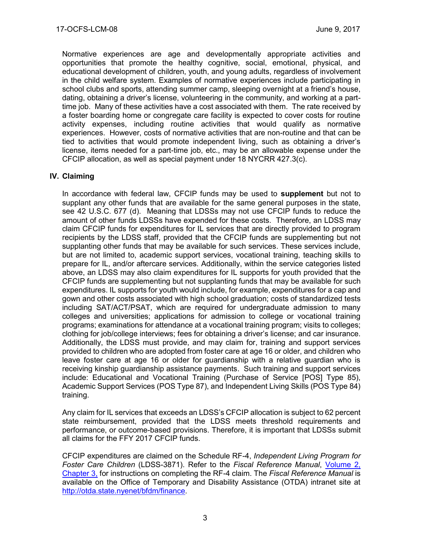Normative experiences are age and developmentally appropriate activities and opportunities that promote the healthy cognitive, social, emotional, physical, and educational development of children, youth, and young adults, regardless of involvement in the child welfare system. Examples of normative experiences include participating in school clubs and sports, attending summer camp, sleeping overnight at a friend's house, dating, obtaining a driver's license, volunteering in the community, and working at a parttime job. Many of these activities have a cost associated with them. The rate received by a foster boarding home or congregate care facility is expected to cover costs for routine activity expenses, including routine activities that would qualify as normative experiences. However, costs of normative activities that are non-routine and that can be tied to activities that would promote independent living, such as obtaining a driver's license, items needed for a part-time job, etc., may be an allowable expense under the CFCIP allocation, as well as special payment under 18 NYCRR 427.3(c).

### **IV. Claiming**

In accordance with federal law, CFCIP funds may be used to **supplement** but not to supplant any other funds that are available for the same general purposes in the state, see 42 U.S.C. 677 (d). Meaning that LDSSs may not use CFCIP funds to reduce the amount of other funds LDSSs have expended for these costs. Therefore, an LDSS may claim CFCIP funds for expenditures for IL services that are directly provided to program recipients by the LDSS staff, provided that the CFCIP funds are supplementing but not supplanting other funds that may be available for such services. These services include, but are not limited to, academic support services, vocational training, teaching skills to prepare for IL, and/or aftercare services. Additionally, within the service categories listed above, an LDSS may also claim expenditures for IL supports for youth provided that the CFCIP funds are supplementing but not supplanting funds that may be available for such expenditures. IL supports for youth would include, for example, expenditures for a cap and gown and other costs associated with high school graduation; costs of standardized tests including SAT/ACT/PSAT, which are required for undergraduate admission to many colleges and universities; applications for admission to college or vocational training programs; examinations for attendance at a vocational training program; visits to colleges; clothing for job/college interviews; fees for obtaining a driver's license; and car insurance. Additionally, the LDSS must provide, and may claim for, training and support services provided to children who are adopted from foster care at age 16 or older, and children who leave foster care at age 16 or older for guardianship with a relative guardian who is receiving kinship guardianship assistance payments. Such training and support services include: Educational and Vocational Training (Purchase of Service [POS] Type 85), Academic Support Services (POS Type 87), and Independent Living Skills (POS Type 84) training.

Any claim for IL services that exceeds an LDSS's CFCIP allocation is subject to 62 percent state reimbursement, provided that the LDSS meets threshold requirements and performance, or outcome-based provisions. Therefore, it is important that LDSSs submit all claims for the FFY 2017 CFCIP funds.

CFCIP expenditures are claimed on the Schedule RF-4, *Independent Living Program for Foster Care Children* (LDSS-3871). Refer to the *Fiscal Reference Manual*, [Volume 2,](http://otda.state.nyenet/bfdm/finance/FRM_Vol2_Manual.asp)  [Chapter 3,](http://otda.state.nyenet/bfdm/finance/FRM_Vol2_Manual.asp) for instructions on completing the RF-4 claim. The *Fiscal Reference Manual* is available on the Office of Temporary and Disability Assistance (OTDA) intranet site at [http://otda.state.nyenet/bfdm/finance.](http://otda.state.nyenet/bfdm/finance)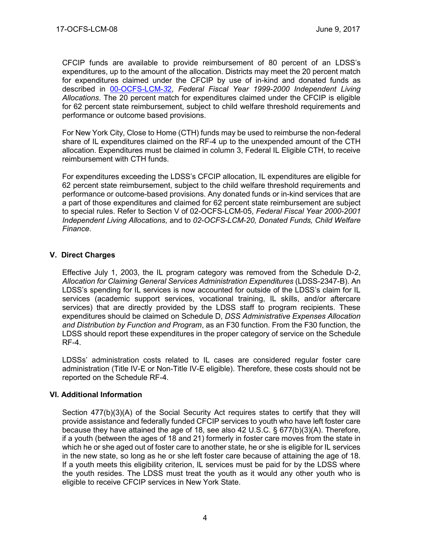CFCIP funds are available to provide reimbursement of 80 percent of an LDSS's expenditures, up to the amount of the allocation. Districts may meet the 20 percent match for expenditures claimed under the CFCIP by use of in-kind and donated funds as described in [00-OCFS-LCM-](http://ocfs.state.nyenet/policies/external/OCFS_2000/LCMs/00-OCFS-LCM-32%20Federal%20Fiscal%20Year%201999-2000%20Independent%20Living%20Allocations.pdf)*3*2, *Federal Fiscal Year 1999-2000 Independent Living Allocations*. The 20 percent match for expenditures claimed under the CFCIP is eligible for 62 percent state reimbursement, subject to child welfare threshold requirements and performance or outcome based provisions.

For New York City, Close to Home (CTH) funds may be used to reimburse the non-federal share of IL expenditures claimed on the RF-4 up to the unexpended amount of the CTH allocation. Expenditures must be claimed in column 3, Federal IL Eligible CTH, to receive reimbursement with CTH funds.

For expenditures exceeding the LDSS's CFCIP allocation, IL expenditures are eligible for 62 percent state reimbursement, subject to the child welfare threshold requirements and performance or outcome-based provisions. Any donated funds or in-kind services that are a part of those expenditures and claimed for 62 percent state reimbursement are subject to special rules. Refer to Section V of 02-OCFS-LCM-05, *Federal Fiscal Year 2000-2001 Independent Living Allocations,* and to *02-OCFS-LCM-20, Donated Funds, Child Welfare Finance*.

## **V. Direct Charges**

Effective July 1, 2003, the IL program category was removed from the Schedule D-2, *Allocation for Claiming General Services Administration Expenditures* (LDSS-2347-B). An LDSS's spending for IL services is now accounted for outside of the LDSS's claim for IL services (academic support services, vocational training, IL skills, and/or aftercare services) that are directly provided by the LDSS staff to program recipients. These expenditures should be claimed on Schedule D, *DSS Administrative Expenses Allocation and Distribution by Function and Program*, as an F30 function. From the F30 function, the LDSS should report these expenditures in the proper category of service on the Schedule RF-4.

LDSSs' administration costs related to IL cases are considered regular foster care administration (Title IV-E or Non-Title IV-E eligible). Therefore, these costs should not be reported on the Schedule RF-4.

## **VI. Additional Information**

Section 477(b)(3)(A) of the Social Security Act requires states to certify that they will provide assistance and federally funded CFCIP services to youth who have left foster care because they have attained the age of 18, see also 42 U.S.C. § 677(b)(3)(A). Therefore, if a youth (between the ages of 18 and 21) formerly in foster care moves from the state in which he or she aged out of foster care to another state, he or she is eligible for IL services in the new state, so long as he or she left foster care because of attaining the age of 18. If a youth meets this eligibility criterion, IL services must be paid for by the LDSS where the youth resides. The LDSS must treat the youth as it would any other youth who is eligible to receive CFCIP services in New York State.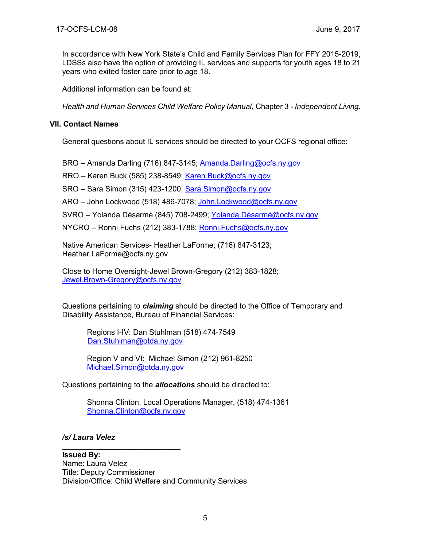In accordance with New York State's Child and Family Services Plan for FFY 2015-2019, LDSSs also have the option of providing IL services and supports for youth ages 18 to 21 years who exited foster care prior to age 18.

Additional information can be found at:

*Health and Human Services Child Welfare Policy Manual,* Chapter 3 *- Independent Living.*

#### **VII. Contact Names**

General questions about IL services should be directed to your OCFS regional office:

BRO – Amanda Darling (716) 847-3145; [Amanda.Darling@ocfs.ny.gov](mailto:Amanda.Darling@ocfs.ny.gov)

RRO – Karen Buck (585) 238-8549; [Karen.Buck@ocfs.ny.gov](mailto:Karen.Buck@ocfs.ny.gov)

SRO – Sara Simon (315) 423-1200; [Sara.Simon@ocfs.ny.gov](mailto:Sara.Simon@ocfs.ny.gov)

ARO – John Lockwood (518) 486-7078; [John.Lockwood@ocfs.ny.gov](mailto:John.Lockwood@ocfs.ny.gov)

SVRO – Yolanda Désarmé (845) 708-2499; [Yolanda.Désarmé@ocfs.ny.gov](mailto:Yolanda.Désarmé@ocfs.ny.gov)

NYCRO – Ronni Fuchs (212) 383-1788; [Ronni.Fuchs@ocfs.ny.gov](mailto:Ronni.Fuchs@ocfs.ny.gov)

Native American Services- Heather LaForme; (716) 847-3123; [Heather.LaForme@ocfs.ny.gov](mailto:Heather.LaForme@ocfs.ny.gov)

Close to Home Oversight-Jewel Brown-Gregory (212) 383-1828; [Jewel.Brown-Gregory@ocfs.ny.gov](mailto:Jewel.Brown-Gregory@ocfs.ny.gov)

Questions pertaining to *claiming* should be directed to the Office of Temporary and Disability Assistance, Bureau of Financial Services:

Regions I-IV: Dan Stuhlman (518) 474-7549 [Dan.Stuhlman@otda.ny.gov](mailto:Dan.Stuhlman@otda.ny.gov) 

Region V and VI: Michael Simon (212) 961-8250 [Michael.Simon@otda.ny.gov](mailto:Michael.Simon@otda.ny.gov)

Questions pertaining to the *allocations* should be directed to:

Shonna Clinton, Local Operations Manager, (518) 474-1361 Shonna.Clinton@ocfs.ny.gov

## */s/ Laura Velez*

**\_\_\_\_\_\_\_\_\_\_\_\_\_\_\_\_\_\_\_\_\_\_\_\_\_\_\_\_**

## **Issued By:**

Name: Laura Velez Title: Deputy Commissioner Division/Office: Child Welfare and Community Services